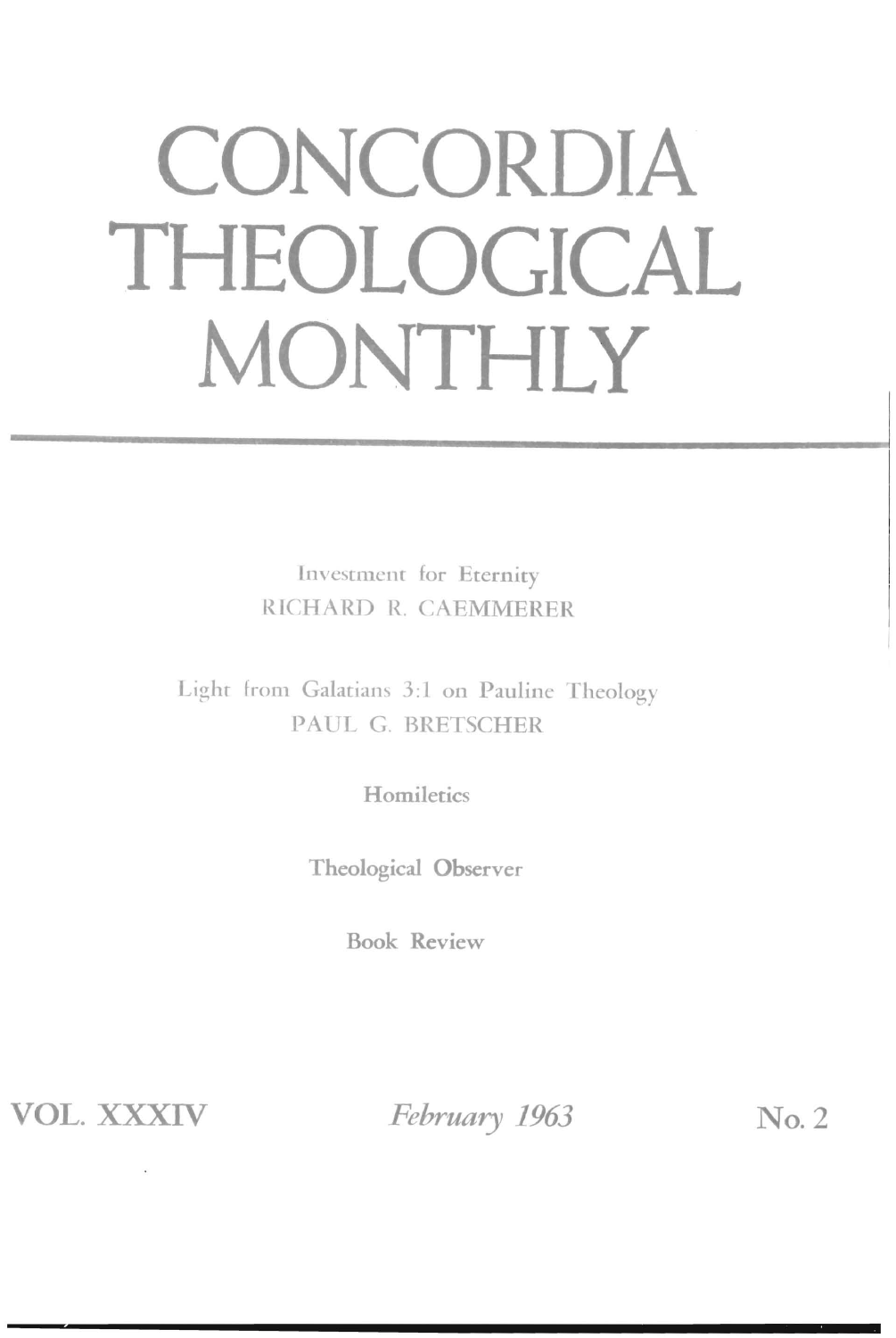## **CONCORDIA THEOLOGICAL MONTHLY**

Investment for Eternity RICHARD R. CAEMMERER

Lighr from Galatians 3:1 on Pauline Theology PAUL G. BRETSCHER

**Homiletics** 

Theological Observer

Book Review

**VOL. XXXIV** *February 1963* No.2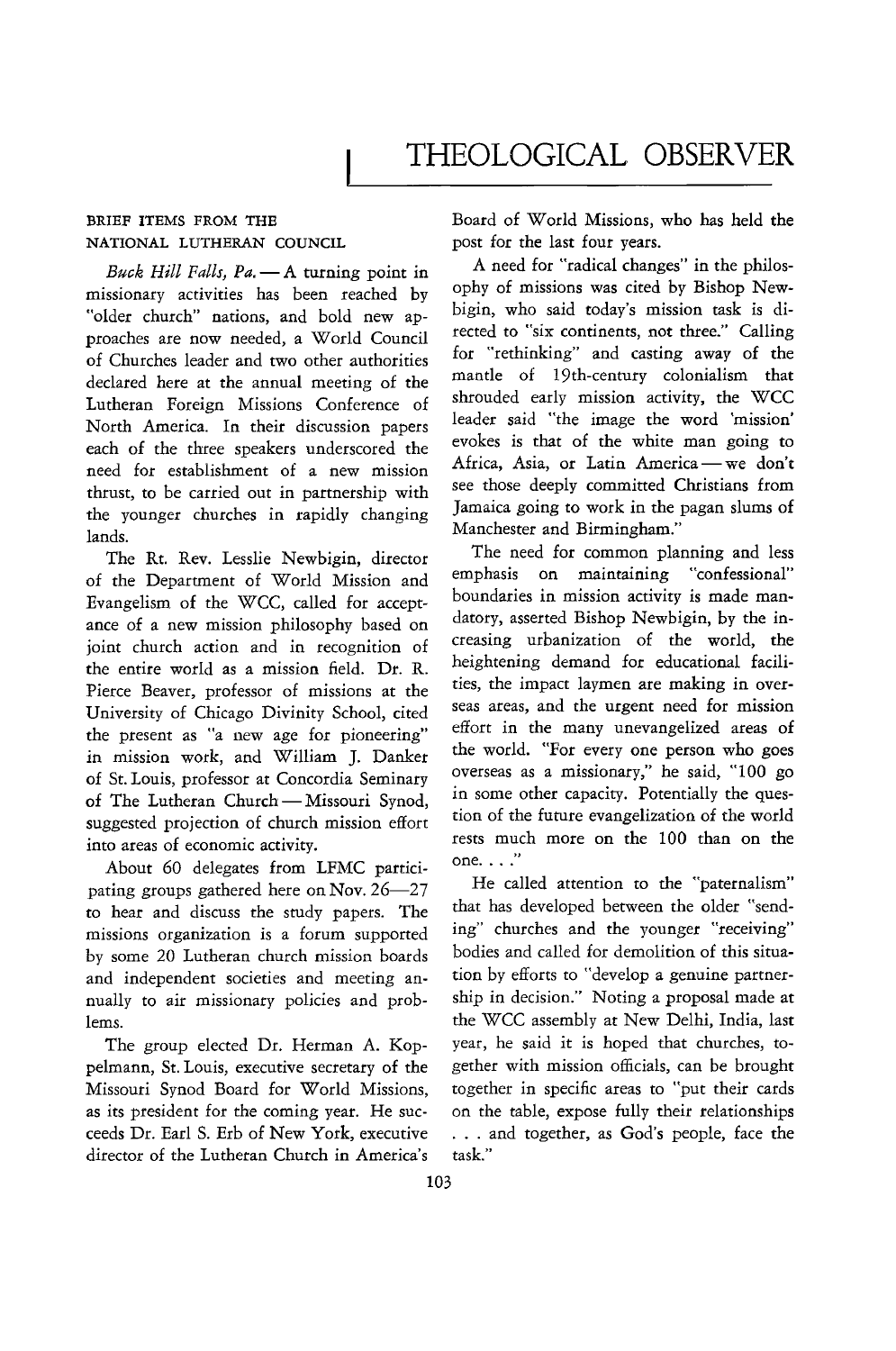## THEOLOGICAL OBSERVER

## BRIEF ITEMS FROM THE NATIONAL LUTHERAN COUNCIL

*Buck Hill Falls, Pa.* - A turning point in missionary activities has been reached by "older church" nations, and bold new approaches are now needed, a World Council of Churches leader and two other authorities declared here at the annual meeting of the Lutheran Foreign Missions Conference of North America. In their discussion papers each of the three speakers underscored the need for establishment of a new mission thrust, to be carried out in partnership with the younger churches in rapidly changing lands.

The Rt. Rev. Lesslie Newbigin, director of the Department of World Mission and Evangelism of the WCC, called for acceptance of a new mission philosophy based on joint church action and in recognition of the entire world as a mission field. Dr. R. Pierce Beaver, professor of missions at the University of Chicago Divinity School, cited the present as "a new age for pioneering" in mission work, and William J. Danker of St. Louis, professor at Concordia Seminary of The Lutheran Church - Missouri Synod, suggested projection of church mission effort into areas of economic activity.

About 60 delegates from LFMC participating groups gathered here on Nov. 26-27 to hear and discuss the study papers. The missions organization is a forum supported by some 20 Lutheran church mission boards and independent societies and meeting annually to air missionary policies and problems.

The group elected Dr. Herman A. Koppelmann, St. Louis, executive secretary of the Missouri Synod Board for World Missions, as its president for the coming year. He succeeds Dr. Earl S. Erb of New York, executive director of the Lutheran Church in America's Board of World Missions, who has held the post for the last four years.

A need for "radical changes" in the philosophy of missions was cited by Bishop Newbigin, who said today's mission task is directed to "six continents, not three." Calling for "rethinking" and casting away of the mantle of 19th-century colonialism that shrouded early mission activity, the WCC leader said "the image the word 'mission' evokes is that of the white man going to Africa, Asia, or Latin America - we don't see those deeply committed Christians from Jamaica going to work in the pagan slums of Manchester and Birmingham."

The need for common planning and less emphasis on maintaining "confessional" boundaries in mission activity is made mandatory, asserted Bishop Newbigin, by the increasing urbanization of the world, the heightening demand for educational facilities, the impact laymen are making in overseas areas, and the urgent need for mission effort in the many unevangelized areas of the world. "For every one person who goes overseas as a missionary," he said, "100 go in some other capacity. Potentially the question of the future evangelization of the world rests much more on the 100 than on the **one.** . . ."

He called attention to the "paternalism" that has developed between the older "sending" churches and the younger "receiving" bodies and called for demolition of this situation by efforts to "develop a genuine partnership in decision." Noting a proposal made at the WCC assembly at New Delhi, India, last year, he said it is hoped that churches, together with mission officials, can be brought together in specific areas to "put their cards on the table, expose fully their relationships ... and together, as God's people, face the task."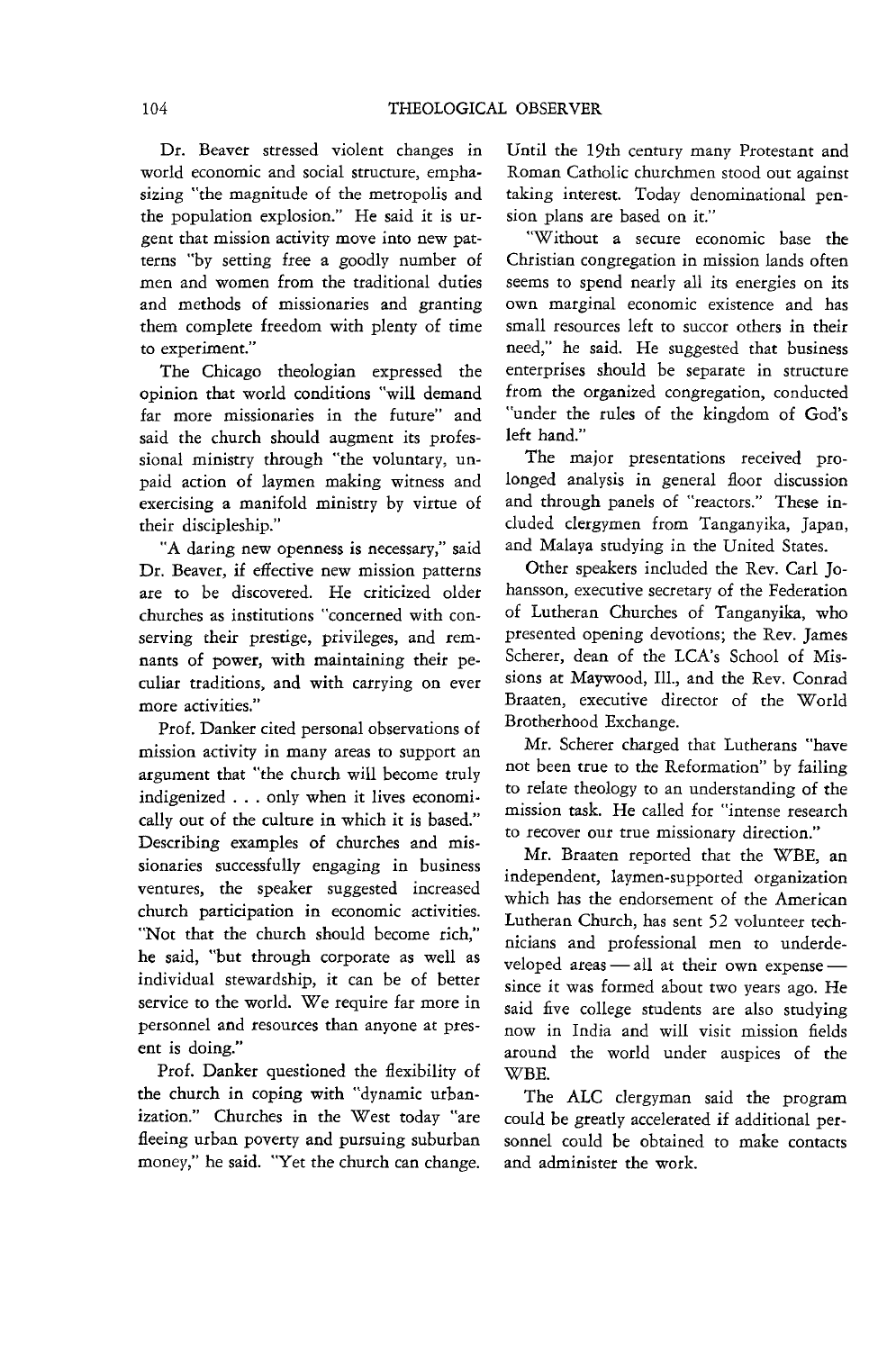Dr. Beaver stressed violent changes in world economic and social structure, emphasizing "the magnitude of the metropolis and the population explosion." He said it is urgent that mission activity move into new patterns "by setting free a goodly number of men and women from the traditional duties and methods of missionaries and granting them complete freedom with plenty of time to experiment."

The Chicago theologian expressed the opinion that world conditions "will demand far more missionaries in the future" and said the church should augment its professional ministry through "the voluntary, unpaid action of laymen making witness and exercising a manifold ministry by virtue of their discipleship."

"A daring new openness is necessary," said Dr. Beaver, if effective new mission patterns are to be discovered. He criticized older churches as institutions "concerned with conserving their prestige, privileges, and remnants of power, with maintaining their peculiar traditions, and with carrying on ever more activities.'

Prof. Danker cited personal observations of mission activity in many areas to support an argument that "the church will become truly indigenized ... only when it lives economically out of the culrure in which it is based." Describing examples of churches and missionaries successfully engaging in business ventures, the speaker suggested increased church participation in economic activities. "Not that the church should become rich," he said, "but through corporate as well as individual stewardship, it can be of better service to the world. We require far more in personnel and resources than anyone at present is doing."

Prof. Danker questioned the flexibility of the church in coping with "dynamic urbanization." Churches in the West today "are fleeing urban poverty and pursuing suburban money," he said. "Yet the church can change.

Until the 19th century many Protestant and Roman Catholic churchmen stood out against taking interest. Today denominational pension plans are based on it."

"Without a secure economic base the Christian congregation in mission lands often seems to spend nearly all its energies on its own marginal economic existence and has small resources left to succor others in their need," he said. He suggested that business enterprises should be separate in structure from the organized congregation, conducted "under the rules of the kingdom of God's left hand."

The major presentations received prolonged analysis in general floor discussion and through panels of "reactors." These included clergymen from Tanganyika, Japan, and Malaya studying in the United States.

Other speakers included the Rev. Carl Johansson, executive secretary of the Federation of Lutheran Churches of Tanganyika, who presented opening devotions; the Rev. James Scherer, dean of the LCA's School of Missions at Maywood, Ill., and the Rev. Conrad Braaten, executive director of the World Brotherhood Exchange.

Mr. Scherer charged that Lutherans "have not been true to the Reformation" by failing to relate theology to an understanding of the mission task. He called for "intense research to recover our true missionary direction."

Mr. Braaten reported that the WBE, an independent, laymen-supported organization which has the endorsement of the American Lutheran Church, has sent 52 volunteer technicians and professional men to underdeveloped areas  $-$  all at their own expense $$ since it was formed about two years ago. He said five college students are also studying now in India and will visit mission fields around the world under auspices of the WBE.

The ALC clergyman said the program could be greatly accelerated if additional personnel could be obtained to make contacts and administer the work.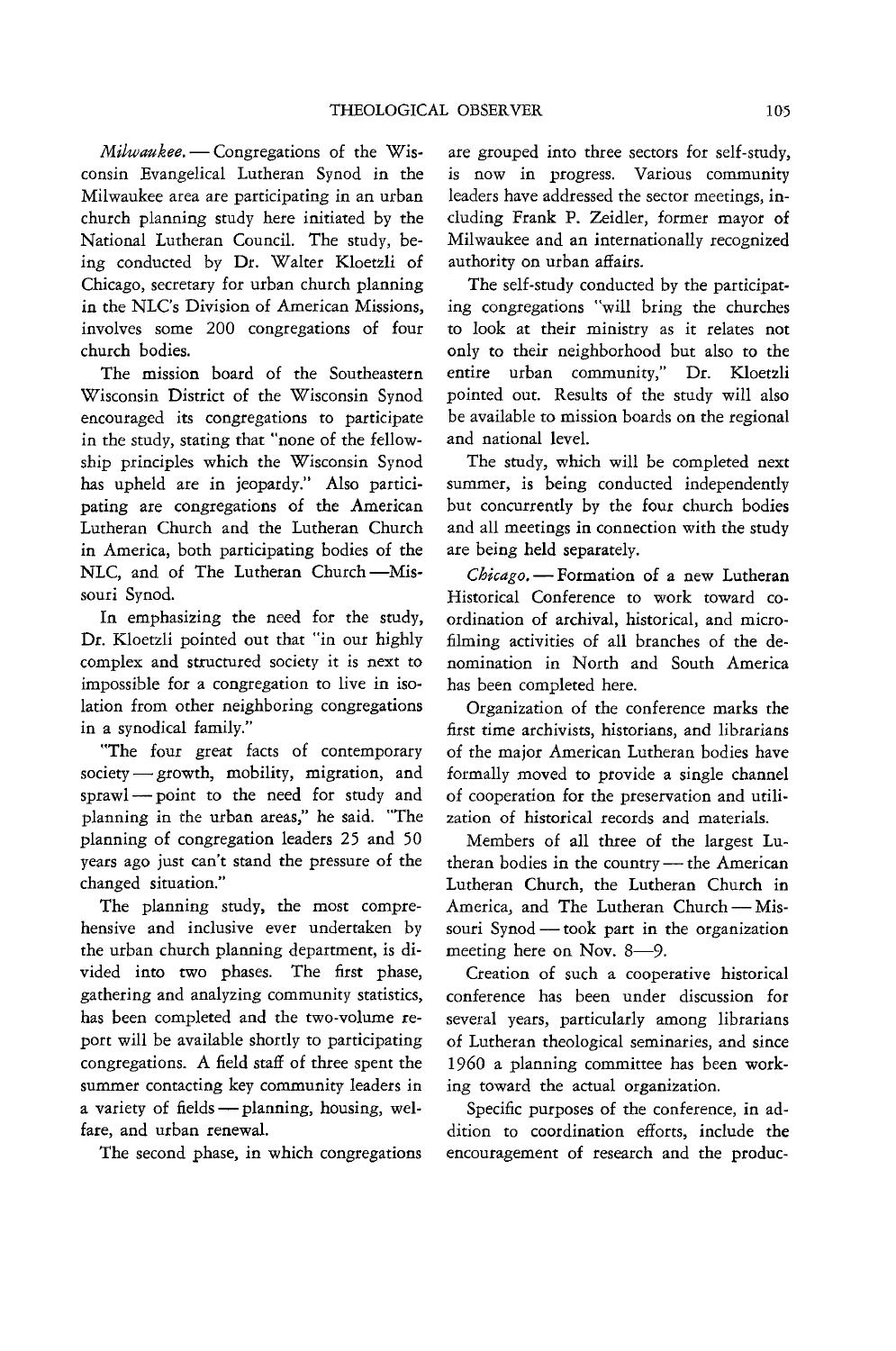*Milwaukee.* - Congregations of the Wisconsin Evangelical Lutheran Synod in the Milwaukee area are participating in an urban church planning study here initiated by the National Lutheran Council. The study, being conducted by Dr. Walter Kloetzli of Chicago, secretary for urban church planning in the NLC's Division of American Missions, involves some 200 congregations of four church bodies.

The mission board of the Southeastern Wisconsin District of the Wisconsin Synod encouraged its congregations to participate in the study, stating that "none of the fellowship principles which the Wisconsin Synod has upheld are in jeopardy." Also participating are congregations of the American Lutheran Church and the Lutheran Church in America, both participating bodies of the NLC, and of The Lutheran Church-Missouri Synod.

In emphasizing the need for the study, Dr. Kloetzli pointed out that "in our highly complex and structured society it is next to impossible for a congregation to live in isolation from other neighboring congregations in a synodical family."

"The four great facts of contemporary society - growth, mobility, migration, and sprawl- point to the need for study and planning in the urban areas," he said. "The planning of congregation leaders 25 and 50 years ago just can't stand the pressure of the changed situation."

The planning study, the most comprehensive and inclusive ever undertaken by the urban church planning department, is divided into two phases. The first phase, gathering and analyzing community statistics, has been completed and the two-volume report will be available shortly to participating congregations. A field staff of three spent the summer contacting key community leaders in a variety of fields  $-$  planning, housing, welfare, and urban renewal.

The second phase, in which congregations

are grouped into three sectors for self-study, is now in progress. Various community leaders have addressed the sector meetings, including Frank P. Zeidler, former mayor of Milwaukee and an internationally recognized authority on urban affairs.

The self-study conducted by the participating congregations "will bring the churches to look at their ministry as it relates not only to their neighborhood but also to the entire urban community," Dr. Kloetzli pointed out. Results of the study wlll also be available to mission boards on the regional and national level.

The study, which will be completed next summer, is being conducted independently but concurrently by the four church bodies and all meetings in connection with the study are being held separately.

*Chicago.* - Formation of a new Lutheran Historical Conference to work toward coordination of archival, historical, and microfilming activities of all branches of the denomination in North and South America has been completed here.

Organization of the conference marks the first time archivists, historians, and librarians of the major American Lutheran bodies have formally moved to provide a single channel of cooperation for the preservation and utilization of historical records and materials.

Members of all three of the largest Lutheran bodies in the country - the American Lutheran Church, the Lutheran Church in America, and The Lutheran Church-Missouri Synod - took part in the organization meeting here on Nov. 8-9.

Creation of such a cooperative historical conference has been under discussion for several years, particularly among librarians of Lutheran theological seminaries, and since 1960 a planning committee has been working toward the actual organization.

Specific purposes of the conference, in addition to coordination efforts, include the encouragement of research and the produc-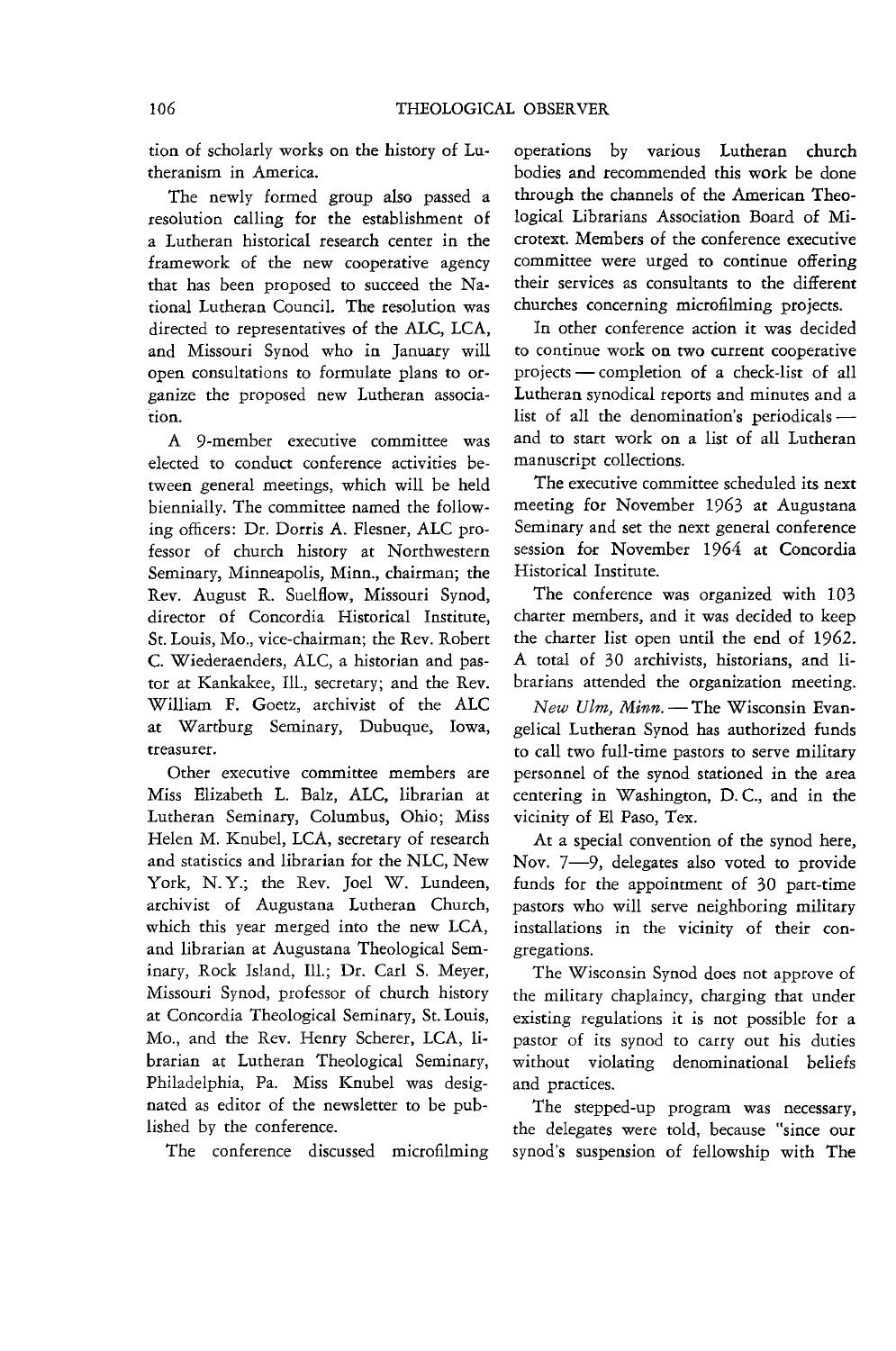tion of scholarly works on the history of Lutheranism in America.

The newly formed group also passed a resolution calling for the establishment of a Lutheran historical research center in the framework of the new cooperative agency that has been proposed to succeed the National Lutheran Council. The resolution was directed to representatives of the ALC, LCA, and Missouri Synod who in January will open consultations to formulate plans to organize the proposed new Lutheran association.

A 9-member executive committee was elected to conduct conference activities between general meetings, which will be held biennially. The committee named the following officers: Dr. Dorris A. Flesner, ALC professor of church history at Northwestern Seminary, Minneapolis, Minn., chairman; the Rev. August R. Suelflow, Missouri Synod, director of Concordia Historical Institute, St. Louis, Mo., vice-chairman; the Rev. Robert C. Wiederaenders, ALC, a historian and pastor at Kankakee, Ill., secretary; and the Rev. William F. Goetz, archivist of the ALC at Wartburg Seminary, Dubuque, Iowa, treasurer.

Other executive committee members are Miss Elizabeth 1. Balz, ALC, librarian at Lutheran Seminary, Columbus, Ohio; Miss Helen M. Knubel, LCA, secretary of research and statistics and librarian for the NLC, New York, N.Y.; the Rev. Joel W. Lundeen, archivist of Augustana Lutheran Church, which this year merged into the new LCA, and librarian at Augustana Theological Seminary, Rock Island, Ill.; Dr. Carl S. Meyer, Missouri Synod, professor of church history at Concordia Theological Seminary, St. Louis, Mo., and the Rev. Henry Scherer, LCA, librarian at Lutheran Theological Seminary, Philadelphia, Pa. Miss Knubel was designated as editor of the newsletter to be published by the conference.

The conference discussed microfilming

operations by various Lutheran church bodies and recommended this work be done through the channels of the American Theological Librarians Association Board of Microtext. Members of the conference executive committee were urged to continue offering their services as consultants to the different churches concerning microfilming projects.

In other conference action it was decided to continue work on two current cooperative projects - completion of a check-list of all Lutheran synodical reports and minutes and a list of all the denomination's periodicalsand to start work on a list of all Lutheran manuscript collections.

The executive committee scheduled its next meeting for November 1963 at Augustana Seminary and set the next general conference session for November 1964 at Concordia Historical Institute.

The conference was organized with 103 charter members, and it was decided to keep the charter list open until the end of 1962. A total of 30 archivists, historians, and librarians attended the organization meeting.

*New Ulm, Minn.-The* Wisconsin Evangelical Lutheran Synod has authorized funds to call two full-time pastors to serve military personnel of the synod stationed in the area centering in Washington, D.C., and in the vicinity of El Paso, Tex.

At a special convention of the synod here, Nov. 7-9, delegates also voted to provide funds for the appointment of 30 part-time pastors who will serve neighboring military installations in the vicinity of their congregations.

The Wisconsin Synod does not approve of the military chaplaincy, charging that under existing regulations it is not possible for a pastor of its synod to carry out his duties without violating denominational beliefs and practices.

The stepped-up program was necessary, the delegates were told, because "since our synod's suspension of fellowship with The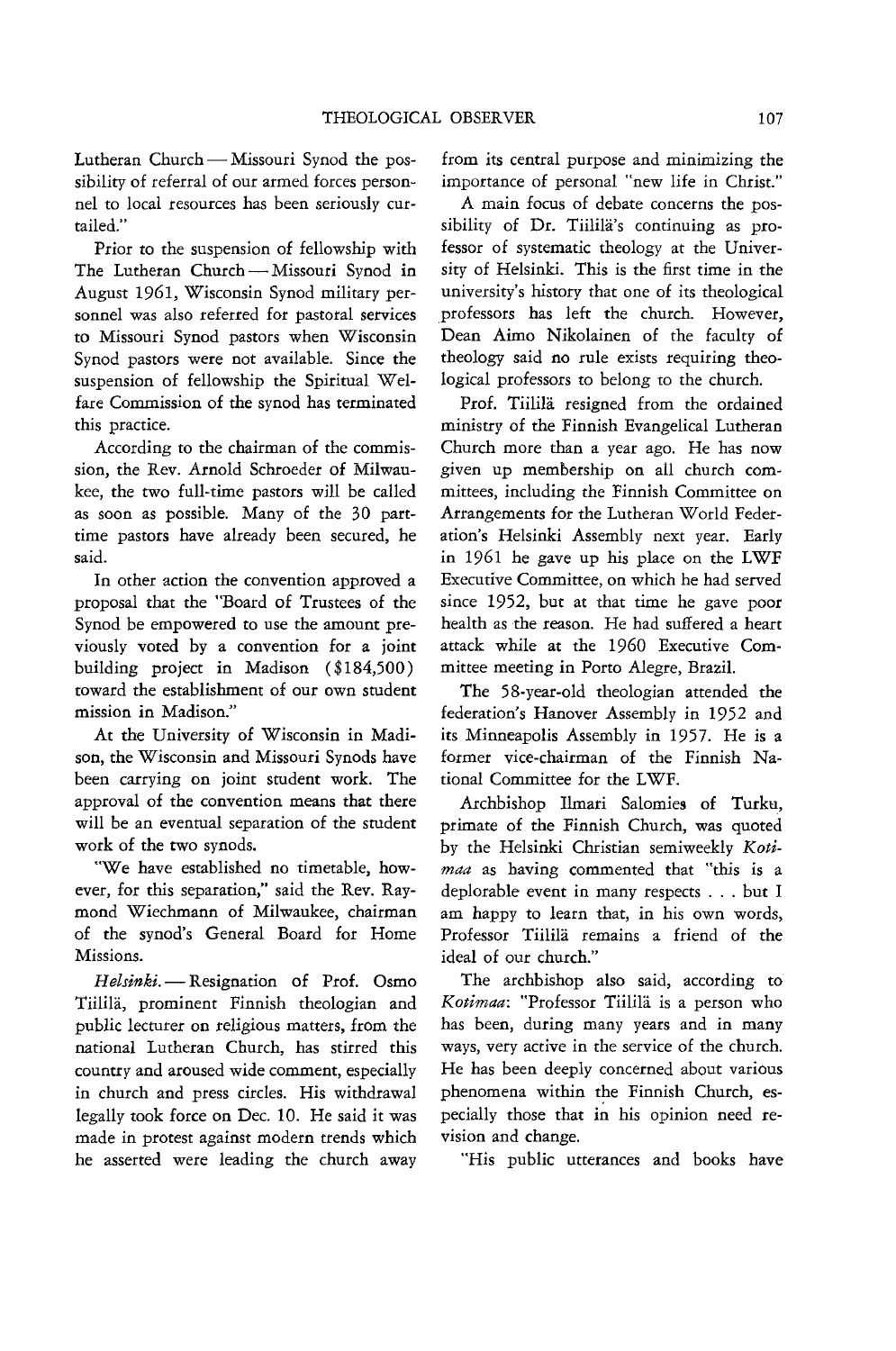Lutheran Church - Missouri Synod the possibility of referral of our armed forces personnel to local resources has been seriously curtailed."

Prior to the suspension of fellowship with The Lutheran Church - Missouri Synod in August 1961, Wisconsin Synod military personnel was also referred for pastoral services to Missouri Synod pastors when Wisconsin Synod pastors were not available. Since the suspension of fellowship the Spiritual Welfare Commission of the synod has terminated this practice.

According to the chairman of the commission, the Rev. Arnold Schroeder of Milwaukee, the two full-time pastors will be called as soon as possible. Many of the 30 parttime pastors have already been secured, he said.

In other action the convention approved a proposal that the "Board of Trustees of the Synod be empowered to use the amount previously voted by a convention for a joint building project in Madison ( \$184,500) toward the establishment of our own student mission in Madison."

At the University of Wisconsin in Madison, the Wisconsin and Missouri Synods have been carrying on joint student work. The approval of the convention means that there will be an eventual separation of the student work of the two synods.

"We have established no timetable, however, for this separation," said the Rev. Raymond Wiechmann of Milwaukee, chairman of the synod's General Board for Home Missions.

Helsinki. - Resignation of Prof. Osmo Tiilila, prominent Finnish theologian and public lecturer on religious matters, from the national Lutheran Church, has stirred this country and aroused wide comment, especially in church and press circles. His withdrawal legally took force on Dec. 10. He said it was made in protest against modern trends which he asserted were leading the church away from its central purpose and minimizing the importance of personal "new life in Christ."

A main focus of debate concerns the possibility of Dr. Tiililä's continuing as professor of systematic theology at the University of Helsinki. This is the first time in the university's history that one of its theological professors has left the church. However, Dean Aimo Nikolainen of the faculty of theology said no rule exists requiring theological professors to belong to the church.

Prof. Tiilila resigned from the ordained ministry of the Finnish Evangelical Lutheran Church more than a year ago. He has now given up membership on all church committees, including the Finnish Committee on Arrangements for the Lutheran World Federation's Helsinki Assembly next year. Early in 1961 he gave up his place on the LWF Executive Committee, on which he had served since 1952, but at that time he gave poor health as the reason. He had suffered a heart attack while at the 1960 Executive Committee meeting in Porto Alegre, Brazil.

The 58-year-old theologian attended the federation's Hanover Assembly in 1952 and its Minneapolis Assembly in 1957. He is a former vice-chairman of the Finnish National Committee for the LWF.

Archbishop Ilmari Salomies of Turku, primate of the Finnish Church, was quoted by the Helsinki Christian semiweekly *Kotimaa* as having commented that "this is a deplorable event in many respects ... but I am happy to learn that, in his own words, Professor Tiililä remains a friend of the ideal of our church."

The archbishop also said, according to *Kotimaa:* "Professor Tiilila is a person who has been, during many years and in many ways, very active in the service of the church. He has been deeply concerned about various phenomena within the Finnish Church, especially those that in his opinion need revision and change.

"His public utterances and books have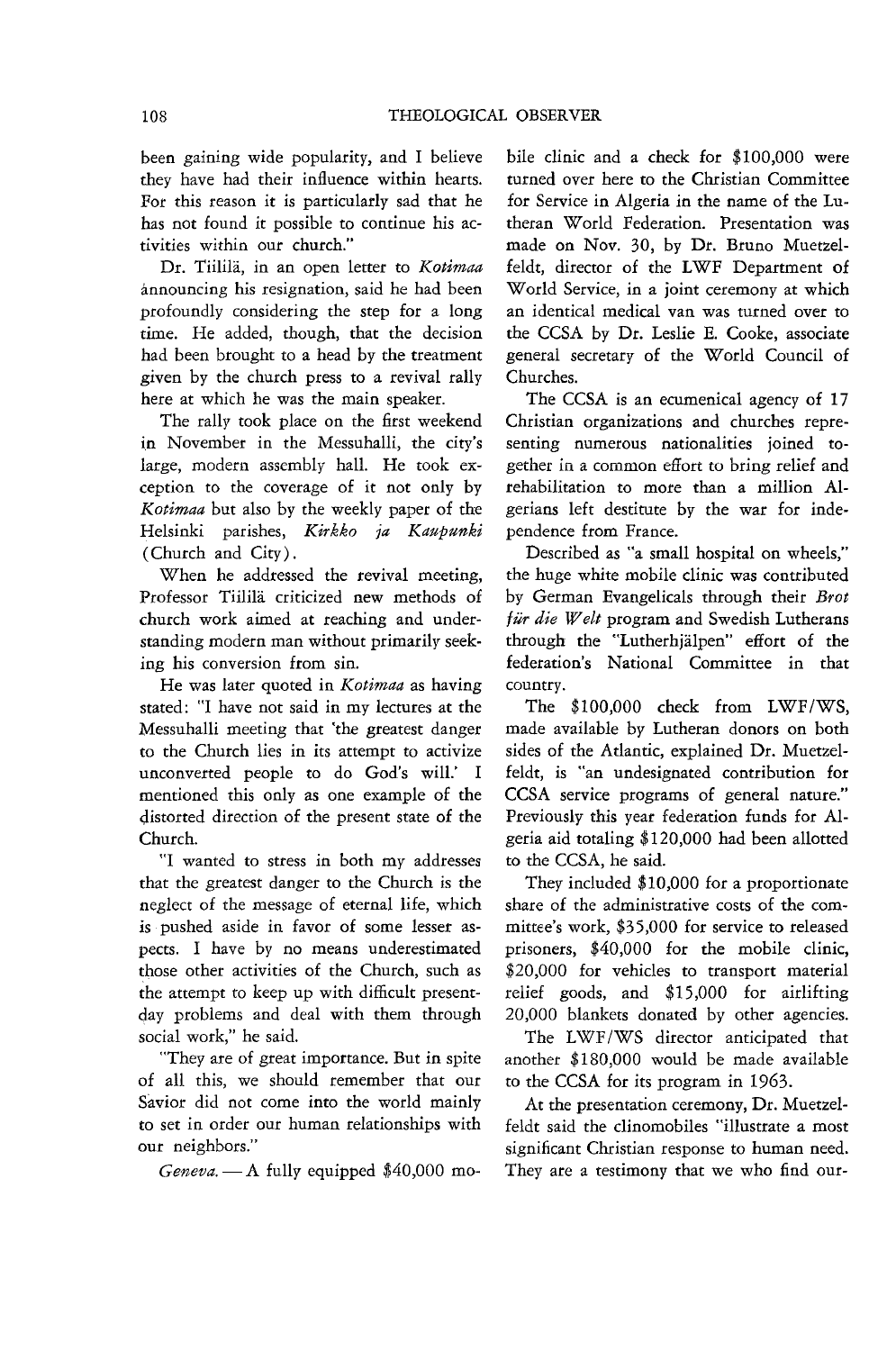been gaining wide popularity, and I believe they have had their influence within hearts, For this reason it is particularly sad that he has not found it possible to continue his activities within our church,"

Dr. Tiililii, in an open letter to *Kotimaa*  announcing his resignation, said he had been profoundly considering the step for a long time. He added, though, that the decision had been brought to a head by the treatment given by the church press to a revival rally here at which he was the main speaker.

The rally took place on the first weekend in November in the Messuhalli, the city's large, modern assembly hall. He took eXception to the coverage of it not only by *Kotimaa* but also by the weekly paper of the Helsinki parishes, *Kirkko ja Kaupunki*  (Church and City).

When he addressed the revival meeting, Professor Tiililä criticized new methods of church work aimed at reaching and understanding modern man without primarily seeking his conversion from sin.

He was later quoted in *Kotimaa* as having stated: "I have not said in my lectures at the Messuhalli meeting that 'the greatest danger to the Church lies in its attempt to activize unconverted people to do God's will.' I mentioned this only as one example of the distorted direction of the present state of the Church.

"I wanted to stress in both my addresses that the greatest danger to the Church is the neglect of the message of eternal life, which is pushed aside in favor of some lesser aspects. I have by no means underestimated those other activities of the Church, such as the attempt to keep up with difficult present day problems and deal with them through social work," he said.

"They are of great importance. But in spite of all this, we should remember that our Savior did not come into the world mainly to set in order our human relationships with our neighbors."

*Geneva.* - A fully equipped \$40,000 mo-

bile clinic and a check for \$100,000 were turned over here to the Christian Committee for Service in Algeria in the name of the Lutheran W orId Federation. Presentation was made on Nov. 30, by Dr. Bruno Muetzelfeldt, director of the LWF Department of World Service, in a joint ceremony at which an identical medical van was turned over to the CCSA by Dr. Leslie E. Cooke, associate general secretary of the World Council of Churches.

The CCSA is an ecumenical agency of 17 Christian organizations and churches representing numerous nationalities joined together in a common effort to bring relief and rehabilitation to more than a million Algerians left destitute by the war for independence from France.

Described as "a small hospital on wheels," the huge white mobile clinic was contributed by German Evangelicals through their *Brot*  für die Welt program and Swedish Lutherans through the "Lutherhjälpen" effort of the federation's National Committee in that country.

The \$100,000 check from LWF/WS, made available by Lutheran donors on both sides of the Atlantic, explained Dr. Muetzelfeldt, is "an undesignated contribution for CCSA service programs of general nature." Previously this year federation funds for Algeria aid totaling \$120,000 had been allotted to the CCSA, he said.

They included \$10,000 for a proportionate share of the administrative costs of the committee's work, \$35,000 for service to released prisoners, \$40,000 for the mobile clinic, \$20,000 for vehicles to transport material relief goods, and \$15,000 for airlifting 20,000 blankets donated by other agencies.

The LWF/WS director anticipated that another \$180,000 would be made available to the CCSA for its program in 1963.

At the presentation ceremony, Dr. Muetzelfeldt said the clinomobiles "illustrate a most significant Christian response to human need. They are a testimony that we who find our-